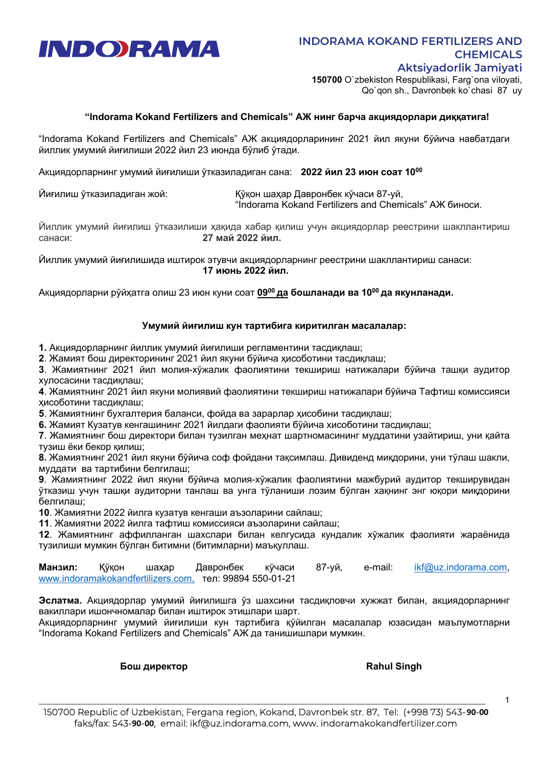

150700 O`zbekiston Respublikasi, Farg`ona viloyati, Qo`qon sh., Davronbek ko`chasi 87 uy

## "Indorama Kokand Fertilizers and Chemicals" АЖ нинг барча акциядорлари диққатига!

"Indorama Kokand Fertilizers and Chemicals" АЖ акциядорларининг 2021 йил якуни бўйича навбатдаги йиллик умумий йиғилиши 2022 йил 23 июнда бўлиб ўтади.

Акциядорларнинг умумий йиғилиши ўтказиладиган сана: **2022 йил 23 июн соат 10<sup>00</sup>** 

Йиғилиш ўтказиладиган жой: Қўқон шаҳар Давронбек кўчаси 87-уй, "Indorama Kokand Fertilizers and Chemicals" АЖ биноси.

Йиллик умумий йиғилиш ўтказилиши ҳақида хабар қилиш учун акциядорлар реестрини шакллантириш санаси: 27 май 2022 йил.

Йиллик умумий йиғилишида иштирок этувчи акциядорларнинг реестрини шакллантириш санаси: 17 июнь 2022 йил.

Акциядорларни рўйхатга олиш 23 июн куни соат 09<sup>00</sup> да бошланади ва 10<sup>00</sup> да якунланади.

## Умумий йиғилиш кун тартибига киритилган масалалар:

1. Акциядорларнинг йиллик умумий йиғилиши регламентини тасдиқлаш;

2. Жамият бош директорининг 2021 йил якуни бўйича ҳисоботини тасдиқлаш;

3. Жамиятнинг 2021 йил молия-хўжалик фаолиятини текшириш натижалари бўйича ташқи аудитор хулосасини тасдиқлаш;

4. Жамиятнинг 2021 йил якуни молиявий фаолиятини текшириш натижалари бўйича Тафтиш комиссияси ҳисоботини тасдиқлаш;

5. Жамиятнинг бухгалтерия баланси, фойда ва зарарлар ҳисобини тасдиқлаш;

6. Жамият Кузатув кенгашининг 2021 йилдаги фаолияти бўйича хисоботини тасдиқлаш;

7. Жамиятнинг бош директори билан тузилган меҳнат шартномасининг муддатини узайтириш, уни қайта тузиш ёки бекор қилиш;

8. Жамиятнинг 2021 йил якуни бўйича соф фойдани тақсимлаш. Дивиденд миқдорини, уни тўлаш шакли, муддати ва тартибини белгилаш;

9. Жамиятнинг 2022 йил якуни бўйича молия-хўжалик фаолиятини мажбурий аудитор текширувидан ўтказиш учун ташқи аудиторни танлаш ва унга тўланиши лозим бўлган хақнинг энг юқори миқдорини белгилаш;

10. Жамиятни 2022 йилга кузатув кенгаши аъзоларини сайлаш;

11. Жамиятни 2022 йилга тафтиш комиссияси аъзоларини сайлаш;

12. Жамиятнинг аффилланган шахслари билан келгусида кундалик хўжалик фаолияти жараёнида тузилиши мумкин бўлган битимни (битимларни) маъқуллаш.

Манзил: Қўқон шаҳар Давронбек кўчаси 87-уй, e-mail: ikf@uz.indorama.com, www.indoramakokandfertilizers.com, тел: 99894 550-01-21

Эслатма. Акциядорлар умумий йиғилишга ўз шахсини тасдиқловчи хужжат билан, акциядорларнинг вакиллари ишончномалар билан иштирок этишлари шарт.

Акциядорларнинг умумий йиғилиши кун тартибига қўйилган масалалар юзасидан маълумотларни "Indorama Kokand Fertilizers and Chemicals" АЖ да танишишлари мумкин.

Бош директор Rahul Singh